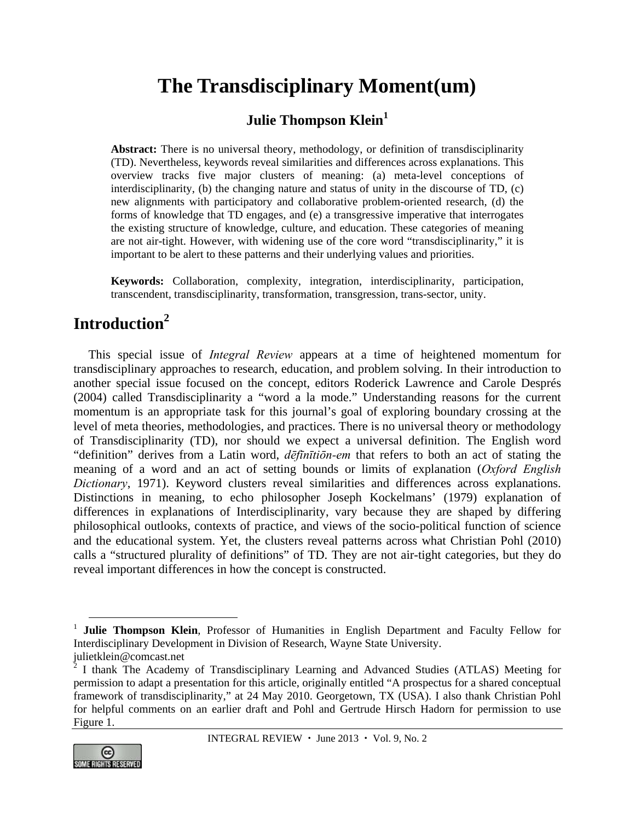# **The Transdisciplinary Moment(um)**

# **Julie Thompson Klein<sup>1</sup>**

**Abstract:** There is no universal theory, methodology, or definition of transdisciplinarity (TD). Nevertheless, keywords reveal similarities and differences across explanations. This overview tracks five major clusters of meaning: (a) meta-level conceptions of interdisciplinarity, (b) the changing nature and status of unity in the discourse of TD, (c) new alignments with participatory and collaborative problem-oriented research, (d) the forms of knowledge that TD engages, and (e) a transgressive imperative that interrogates the existing structure of knowledge, culture, and education. These categories of meaning are not air-tight. However, with widening use of the core word "transdisciplinarity," it is important to be alert to these patterns and their underlying values and priorities.

**Keywords:** Collaboration, complexity, integration, interdisciplinarity, participation, transcendent, transdisciplinarity, transformation, transgression, trans-sector, unity.

# **Introduction2**

This special issue of *Integral Review* appears at a time of heightened momentum for transdisciplinary approaches to research, education, and problem solving. In their introduction to another special issue focused on the concept, editors Roderick Lawrence and Carole Després (2004) called Transdisciplinarity a "word a la mode." Understanding reasons for the current momentum is an appropriate task for this journal's goal of exploring boundary crossing at the level of meta theories, methodologies, and practices. There is no universal theory or methodology of Transdisciplinarity (TD), nor should we expect a universal definition. The English word "definition" derives from a Latin word, *dēfīnītiōn-em* that refers to both an act of stating the meaning of a word and an act of setting bounds or limits of explanation (*Oxford English Dictionary*, 1971). Keyword clusters reveal similarities and differences across explanations. Distinctions in meaning, to echo philosopher Joseph Kockelmans' (1979) explanation of differences in explanations of Interdisciplinarity, vary because they are shaped by differing philosophical outlooks, contexts of practice, and views of the socio-political function of science and the educational system. Yet, the clusters reveal patterns across what Christian Pohl (2010) calls a "structured plurality of definitions" of TD. They are not air-tight categories, but they do reveal important differences in how the concept is constructed.



<sup>&</sup>lt;sup>1</sup> Julie Thompson Klein, Professor of Humanities in English Department and Faculty Fellow for Interdisciplinary Development in Division of Research, Wayne State University. julietklein@comcast.net

 $2^{2}$  I thank The Academy of Transdisciplinary Learning and Advanced Studies (ATLAS) Meeting for permission to adapt a presentation for this article, originally entitled "A prospectus for a shared conceptual framework of transdisciplinarity," at 24 May 2010. Georgetown, TX (USA). I also thank Christian Pohl for helpful comments on an earlier draft and Pohl and Gertrude Hirsch Hadorn for permission to use Figure 1.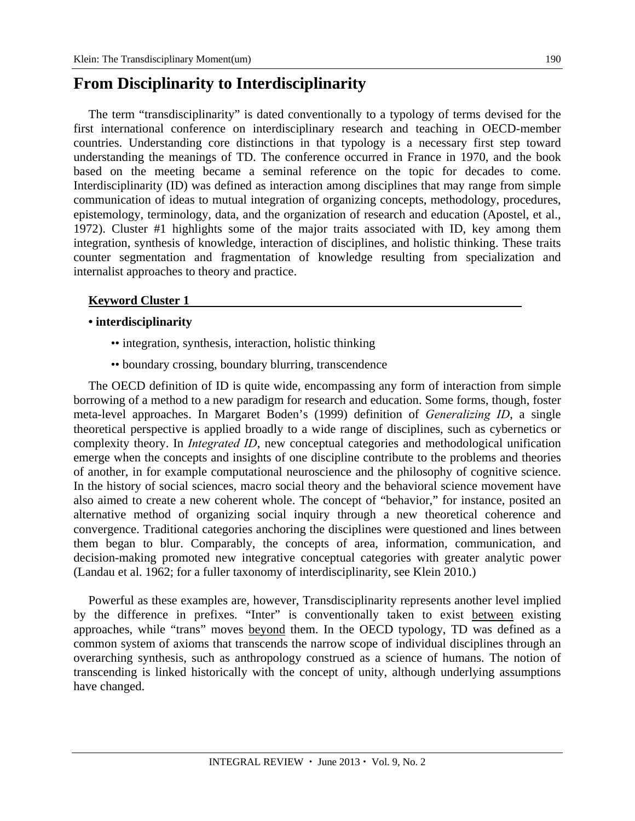# **From Disciplinarity to Interdisciplinarity**

The term "transdisciplinarity" is dated conventionally to a typology of terms devised for the first international conference on interdisciplinary research and teaching in OECD-member countries. Understanding core distinctions in that typology is a necessary first step toward understanding the meanings of TD. The conference occurred in France in 1970, and the book based on the meeting became a seminal reference on the topic for decades to come. Interdisciplinarity (ID) was defined as interaction among disciplines that may range from simple communication of ideas to mutual integration of organizing concepts, methodology, procedures, epistemology, terminology, data, and the organization of research and education (Apostel, et al., 1972). Cluster #1 highlights some of the major traits associated with ID, key among them integration, synthesis of knowledge, interaction of disciplines, and holistic thinking. These traits counter segmentation and fragmentation of knowledge resulting from specialization and internalist approaches to theory and practice.

### **Keyword Cluster 1**

### **• interdisciplinarity**

- •• integration, synthesis, interaction, holistic thinking
- •• boundary crossing, boundary blurring, transcendence

The OECD definition of ID is quite wide, encompassing any form of interaction from simple borrowing of a method to a new paradigm for research and education. Some forms, though, foster meta-level approaches. In Margaret Boden's (1999) definition of *Generalizing ID*, a single theoretical perspective is applied broadly to a wide range of disciplines, such as cybernetics or complexity theory. In *Integrated ID*, new conceptual categories and methodological unification emerge when the concepts and insights of one discipline contribute to the problems and theories of another, in for example computational neuroscience and the philosophy of cognitive science. In the history of social sciences, macro social theory and the behavioral science movement have also aimed to create a new coherent whole. The concept of "behavior," for instance, posited an alternative method of organizing social inquiry through a new theoretical coherence and convergence. Traditional categories anchoring the disciplines were questioned and lines between them began to blur. Comparably, the concepts of area, information, communication, and decision-making promoted new integrative conceptual categories with greater analytic power (Landau et al. 1962; for a fuller taxonomy of interdisciplinarity, see Klein 2010.)

Powerful as these examples are, however, Transdisciplinarity represents another level implied by the difference in prefixes. "Inter" is conventionally taken to exist between existing approaches, while "trans" moves beyond them. In the OECD typology, TD was defined as a common system of axioms that transcends the narrow scope of individual disciplines through an overarching synthesis, such as anthropology construed as a science of humans. The notion of transcending is linked historically with the concept of unity, although underlying assumptions have changed.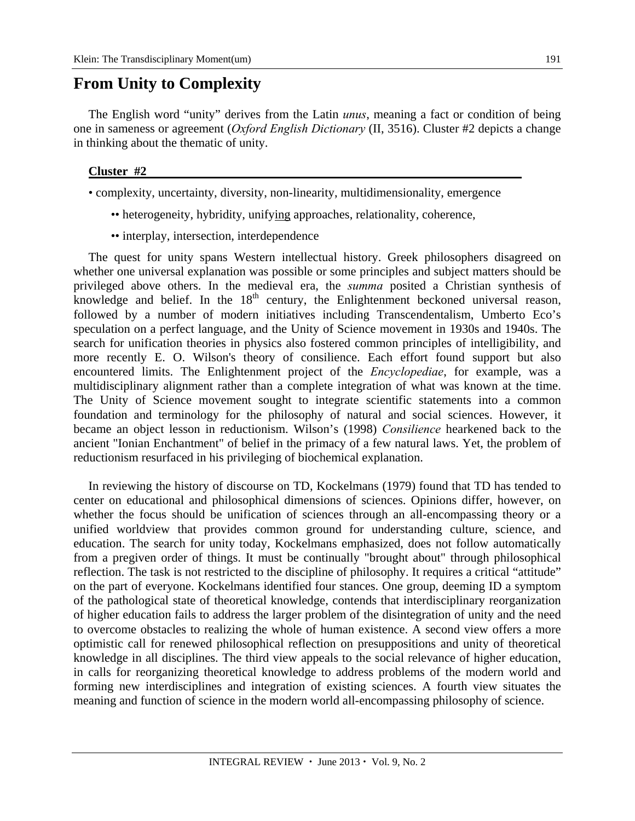## **From Unity to Complexity**

The English word "unity" derives from the Latin *unus*, meaning a fact or condition of being one in sameness or agreement (*Oxford English Dictionary* (II, 3516). Cluster #2 depicts a change in thinking about the thematic of unity.

#### **Cluster #2**

- complexity, uncertainty, diversity, non-linearity, multidimensionality, emergence
	- •• heterogeneity, hybridity, unifying approaches, relationality, coherence,
	- interplay, intersection, interdependence

The quest for unity spans Western intellectual history. Greek philosophers disagreed on whether one universal explanation was possible or some principles and subject matters should be privileged above others. In the medieval era, the *summa* posited a Christian synthesis of knowledge and belief. In the  $18<sup>th</sup>$  century, the Enlightenment beckoned universal reason, followed by a number of modern initiatives including Transcendentalism, Umberto Eco's speculation on a perfect language, and the Unity of Science movement in 1930s and 1940s. The search for unification theories in physics also fostered common principles of intelligibility, and more recently E. O. Wilson's theory of consilience. Each effort found support but also encountered limits. The Enlightenment project of the *Encyclopediae*, for example, was a multidisciplinary alignment rather than a complete integration of what was known at the time. The Unity of Science movement sought to integrate scientific statements into a common foundation and terminology for the philosophy of natural and social sciences. However, it became an object lesson in reductionism. Wilson's (1998) *Consilience* hearkened back to the ancient "Ionian Enchantment" of belief in the primacy of a few natural laws. Yet, the problem of reductionism resurfaced in his privileging of biochemical explanation.

In reviewing the history of discourse on TD, Kockelmans (1979) found that TD has tended to center on educational and philosophical dimensions of sciences. Opinions differ, however, on whether the focus should be unification of sciences through an all-encompassing theory or a unified worldview that provides common ground for understanding culture, science, and education. The search for unity today, Kockelmans emphasized, does not follow automatically from a pregiven order of things. It must be continually "brought about" through philosophical reflection. The task is not restricted to the discipline of philosophy. It requires a critical "attitude" on the part of everyone. Kockelmans identified four stances. One group, deeming ID a symptom of the pathological state of theoretical knowledge, contends that interdisciplinary reorganization of higher education fails to address the larger problem of the disintegration of unity and the need to overcome obstacles to realizing the whole of human existence. A second view offers a more optimistic call for renewed philosophical reflection on presuppositions and unity of theoretical knowledge in all disciplines. The third view appeals to the social relevance of higher education, in calls for reorganizing theoretical knowledge to address problems of the modern world and forming new interdisciplines and integration of existing sciences. A fourth view situates the meaning and function of science in the modern world all-encompassing philosophy of science.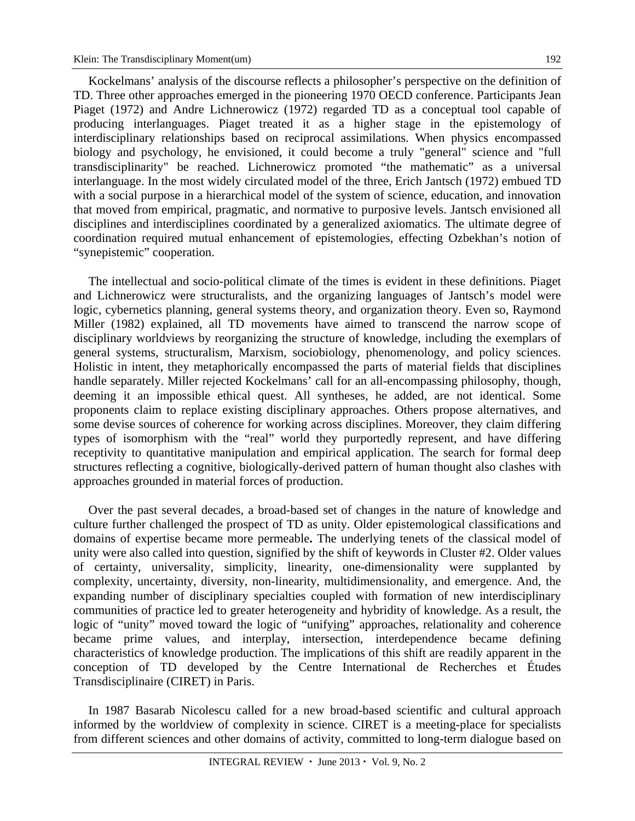Kockelmans' analysis of the discourse reflects a philosopher's perspective on the definition of TD. Three other approaches emerged in the pioneering 1970 OECD conference. Participants Jean Piaget (1972) and Andre Lichnerowicz (1972) regarded TD as a conceptual tool capable of producing interlanguages. Piaget treated it as a higher stage in the epistemology of interdisciplinary relationships based on reciprocal assimilations. When physics encompassed biology and psychology, he envisioned, it could become a truly "general" science and "full transdisciplinarity" be reached. Lichnerowicz promoted "the mathematic" as a universal interlanguage. In the most widely circulated model of the three, Erich Jantsch (1972) embued TD with a social purpose in a hierarchical model of the system of science, education, and innovation that moved from empirical, pragmatic, and normative to purposive levels. Jantsch envisioned all disciplines and interdisciplines coordinated by a generalized axiomatics. The ultimate degree of coordination required mutual enhancement of epistemologies, effecting Ozbekhan's notion of "synepistemic" cooperation.

The intellectual and socio-political climate of the times is evident in these definitions. Piaget and Lichnerowicz were structuralists, and the organizing languages of Jantsch's model were logic, cybernetics planning, general systems theory, and organization theory. Even so, Raymond Miller (1982) explained, all TD movements have aimed to transcend the narrow scope of disciplinary worldviews by reorganizing the structure of knowledge, including the exemplars of general systems, structuralism, Marxism, sociobiology, phenomenology, and policy sciences. Holistic in intent, they metaphorically encompassed the parts of material fields that disciplines handle separately. Miller rejected Kockelmans' call for an all-encompassing philosophy, though, deeming it an impossible ethical quest. All syntheses, he added, are not identical. Some proponents claim to replace existing disciplinary approaches. Others propose alternatives, and some devise sources of coherence for working across disciplines. Moreover, they claim differing types of isomorphism with the "real" world they purportedly represent, and have differing receptivity to quantitative manipulation and empirical application. The search for formal deep structures reflecting a cognitive, biologically-derived pattern of human thought also clashes with approaches grounded in material forces of production.

Over the past several decades, a broad-based set of changes in the nature of knowledge and culture further challenged the prospect of TD as unity. Older epistemological classifications and domains of expertise became more permeable**.** The underlying tenets of the classical model of unity were also called into question, signified by the shift of keywords in Cluster #2. Older values of certainty, universality, simplicity, linearity, one-dimensionality were supplanted by complexity, uncertainty, diversity, non-linearity, multidimensionality, and emergence. And, the expanding number of disciplinary specialties coupled with formation of new interdisciplinary communities of practice led to greater heterogeneity and hybridity of knowledge. As a result, the logic of "unity" moved toward the logic of "unifying" approaches, relationality and coherence became prime values, and interplay, intersection, interdependence became defining characteristics of knowledge production. The implications of this shift are readily apparent in the conception of TD developed by the Centre International de Recherches et Études Transdisciplinaire (CIRET) in Paris.

In 1987 Basarab Nicolescu called for a new broad-based scientific and cultural approach informed by the worldview of complexity in science. CIRET is a meeting-place for specialists from different sciences and other domains of activity, committed to long-term dialogue based on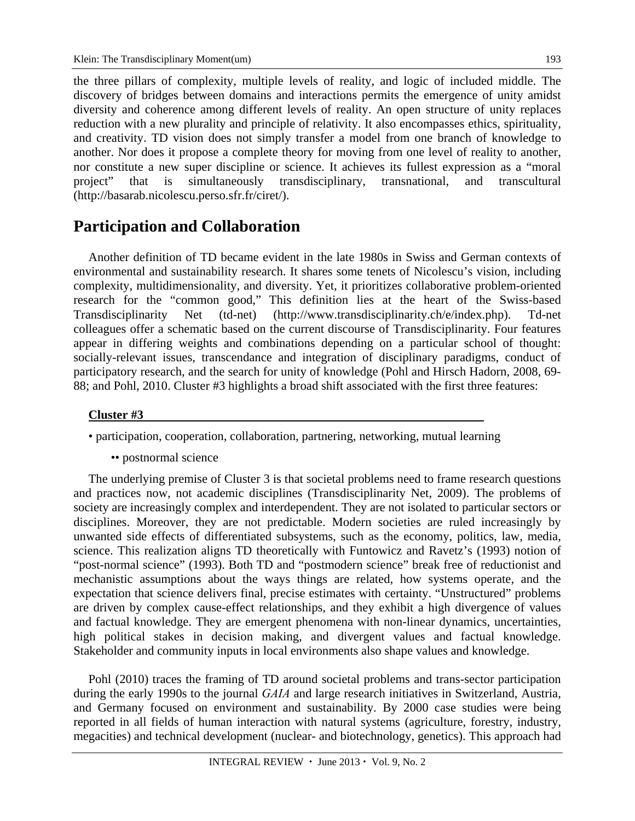the three pillars of complexity, multiple levels of reality, and logic of included middle. The discovery of bridges between domains and interactions permits the emergence of unity amidst diversity and coherence among different levels of reality. An open structure of unity replaces reduction with a new plurality and principle of relativity. It also encompasses ethics, spirituality, and creativity. TD vision does not simply transfer a model from one branch of knowledge to another. Nor does it propose a complete theory for moving from one level of reality to another, nor constitute a new super discipline or science. It achieves its fullest expression as a "moral project" that is simultaneously transdisciplinary, transnational, and transcultural (http://basarab.nicolescu.perso.sfr.fr/ciret/).

## **Participation and Collaboration**

Another definition of TD became evident in the late 1980s in Swiss and German contexts of environmental and sustainability research. It shares some tenets of Nicolescu's vision, including complexity, multidimensionality, and diversity. Yet, it prioritizes collaborative problem-oriented research for the "common good," This definition lies at the heart of the Swiss-based Transdisciplinarity Net (td-net) (http://www.transdisciplinarity.ch/e/index.php). Td-net colleagues offer a schematic based on the current discourse of Transdisciplinarity. Four features appear in differing weights and combinations depending on a particular school of thought: socially-relevant issues, transcendance and integration of disciplinary paradigms, conduct of participatory research, and the search for unity of knowledge (Pohl and Hirsch Hadorn, 2008, 69- 88; and Pohl, 2010. Cluster #3 highlights a broad shift associated with the first three features:

### **Cluster #3**

• participation, cooperation, collaboration, partnering, networking, mutual learning

•• postnormal science

The underlying premise of Cluster 3 is that societal problems need to frame research questions and practices now, not academic disciplines (Transdisciplinarity Net, 2009). The problems of society are increasingly complex and interdependent. They are not isolated to particular sectors or disciplines. Moreover, they are not predictable. Modern societies are ruled increasingly by unwanted side effects of differentiated subsystems, such as the economy, politics, law, media, science. This realization aligns TD theoretically with Funtowicz and Ravetz's (1993) notion of "post-normal science" (1993). Both TD and "postmodern science" break free of reductionist and mechanistic assumptions about the ways things are related, how systems operate, and the expectation that science delivers final, precise estimates with certainty. "Unstructured" problems are driven by complex cause-effect relationships, and they exhibit a high divergence of values and factual knowledge. They are emergent phenomena with non-linear dynamics, uncertainties, high political stakes in decision making, and divergent values and factual knowledge. Stakeholder and community inputs in local environments also shape values and knowledge.

Pohl (2010) traces the framing of TD around societal problems and trans-sector participation during the early 1990s to the journal *GAIA* and large research initiatives in Switzerland, Austria, and Germany focused on environment and sustainability. By 2000 case studies were being reported in all fields of human interaction with natural systems (agriculture, forestry, industry, megacities) and technical development (nuclear- and biotechnology, genetics). This approach had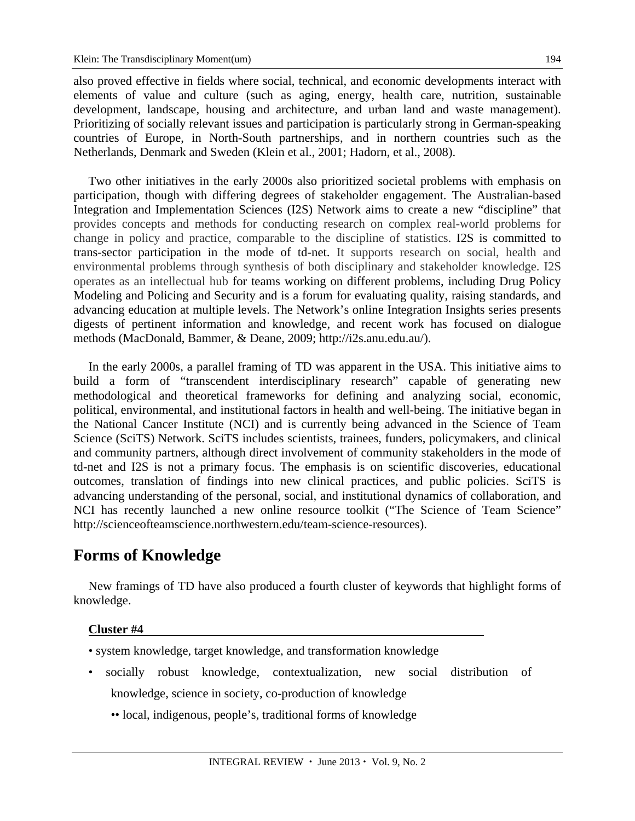also proved effective in fields where social, technical, and economic developments interact with elements of value and culture (such as aging, energy, health care, nutrition, sustainable development, landscape, housing and architecture, and urban land and waste management). Prioritizing of socially relevant issues and participation is particularly strong in German-speaking countries of Europe, in North-South partnerships, and in northern countries such as the Netherlands, Denmark and Sweden (Klein et al., 2001; Hadorn, et al., 2008).

Two other initiatives in the early 2000s also prioritized societal problems with emphasis on participation, though with differing degrees of stakeholder engagement. The Australian-based Integration and Implementation Sciences (I2S) Network aims to create a new "discipline" that provides concepts and methods for conducting research on complex real-world problems for change in policy and practice, comparable to the discipline of statistics. I2S is committed to trans-sector participation in the mode of td-net. It supports research on social, health and environmental problems through synthesis of both disciplinary and stakeholder knowledge. I2S operates as an intellectual hub for teams working on different problems, including Drug Policy Modeling and Policing and Security and is a forum for evaluating quality, raising standards, and advancing education at multiple levels. The Network's online Integration Insights series presents digests of pertinent information and knowledge, and recent work has focused on dialogue methods (MacDonald, Bammer, & Deane, 2009; http://i2s.anu.edu.au/).

In the early 2000s, a parallel framing of TD was apparent in the USA. This initiative aims to build a form of "transcendent interdisciplinary research" capable of generating new methodological and theoretical frameworks for defining and analyzing social, economic, political, environmental, and institutional factors in health and well-being. The initiative began in the National Cancer Institute (NCI) and is currently being advanced in the Science of Team Science (SciTS) Network. SciTS includes scientists, trainees, funders, policymakers, and clinical and community partners, although direct involvement of community stakeholders in the mode of td-net and I2S is not a primary focus. The emphasis is on scientific discoveries, educational outcomes, translation of findings into new clinical practices, and public policies. SciTS is advancing understanding of the personal, social, and institutional dynamics of collaboration, and NCI has recently launched a new online resource toolkit ("The Science of Team Science" http://scienceofteamscience.northwestern.edu/team-science-resources).

# **Forms of Knowledge**

New framings of TD have also produced a fourth cluster of keywords that highlight forms of knowledge.

### **Cluster #4**

- system knowledge, target knowledge, and transformation knowledge
- socially robust knowledge, contextualization, new social distribution of knowledge, science in society, co-production of knowledge
	- •• local, indigenous, people's, traditional forms of knowledge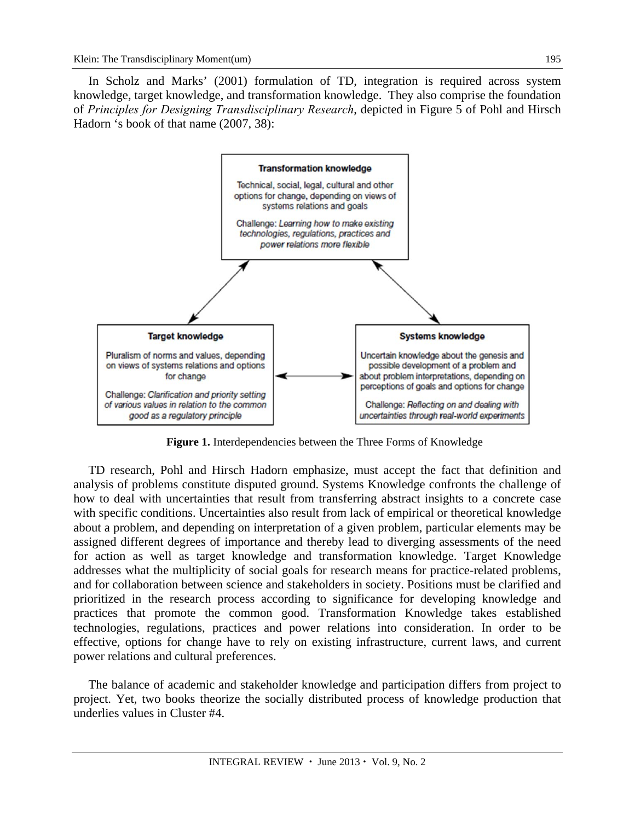In Scholz and Marks' (2001) formulation of TD, integration is required across system knowledge, target knowledge, and transformation knowledge. They also comprise the foundation of *Principles for Designing Transdisciplinary Research*, depicted in Figure 5 of Pohl and Hirsch Hadorn 's book of that name (2007, 38):



**Figure 1.** Interdependencies between the Three Forms of Knowledge

TD research, Pohl and Hirsch Hadorn emphasize, must accept the fact that definition and analysis of problems constitute disputed ground. Systems Knowledge confronts the challenge of how to deal with uncertainties that result from transferring abstract insights to a concrete case with specific conditions. Uncertainties also result from lack of empirical or theoretical knowledge about a problem, and depending on interpretation of a given problem, particular elements may be assigned different degrees of importance and thereby lead to diverging assessments of the need for action as well as target knowledge and transformation knowledge. Target Knowledge addresses what the multiplicity of social goals for research means for practice-related problems, and for collaboration between science and stakeholders in society. Positions must be clarified and prioritized in the research process according to significance for developing knowledge and practices that promote the common good. Transformation Knowledge takes established technologies, regulations, practices and power relations into consideration. In order to be effective, options for change have to rely on existing infrastructure, current laws, and current power relations and cultural preferences.

The balance of academic and stakeholder knowledge and participation differs from project to project. Yet, two books theorize the socially distributed process of knowledge production that underlies values in Cluster #4.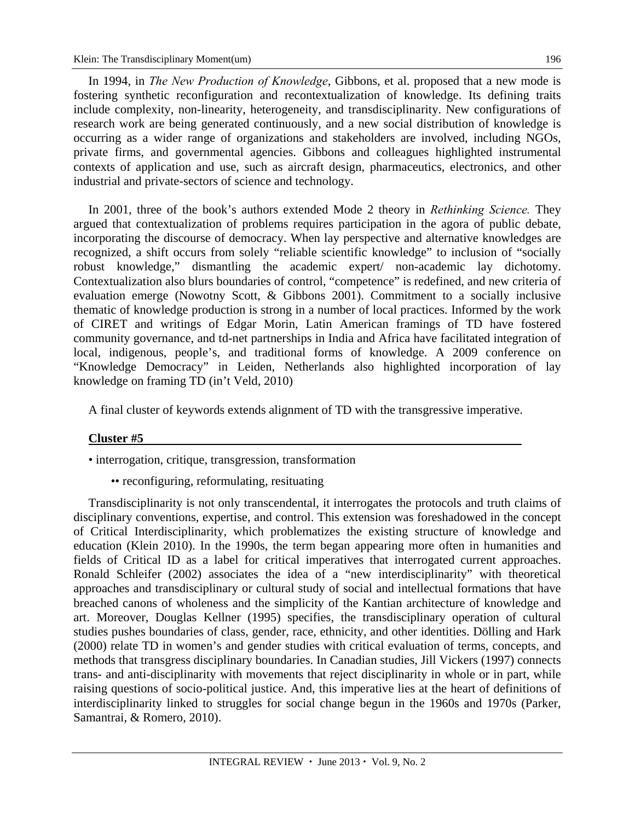In 1994, in *The New Production of Knowledge*, Gibbons, et al. proposed that a new mode is fostering synthetic reconfiguration and recontextualization of knowledge. Its defining traits include complexity, non-linearity, heterogeneity, and transdisciplinarity. New configurations of research work are being generated continuously, and a new social distribution of knowledge is occurring as a wider range of organizations and stakeholders are involved, including NGOs, private firms, and governmental agencies. Gibbons and colleagues highlighted instrumental contexts of application and use, such as aircraft design, pharmaceutics, electronics, and other industrial and private-sectors of science and technology.

In 2001, three of the book's authors extended Mode 2 theory in *Rethinking Science.* They argued that contextualization of problems requires participation in the agora of public debate, incorporating the discourse of democracy. When lay perspective and alternative knowledges are recognized, a shift occurs from solely "reliable scientific knowledge" to inclusion of "socially robust knowledge," dismantling the academic expert/ non-academic lay dichotomy. Contextualization also blurs boundaries of control, "competence" is redefined, and new criteria of evaluation emerge (Nowotny Scott, & Gibbons 2001). Commitment to a socially inclusive thematic of knowledge production is strong in a number of local practices. Informed by the work of CIRET and writings of Edgar Morin, Latin American framings of TD have fostered community governance, and td-net partnerships in India and Africa have facilitated integration of local, indigenous, people's, and traditional forms of knowledge. A 2009 conference on "Knowledge Democracy" in Leiden, Netherlands also highlighted incorporation of lay knowledge on framing TD (in't Veld, 2010)

A final cluster of keywords extends alignment of TD with the transgressive imperative.

### **Cluster #5**

• interrogation, critique, transgression, transformation

• reconfiguring, reformulating, resituating

Transdisciplinarity is not only transcendental, it interrogates the protocols and truth claims of disciplinary conventions, expertise, and control. This extension was foreshadowed in the concept of Critical Interdisciplinarity, which problematizes the existing structure of knowledge and education (Klein 2010). In the 1990s, the term began appearing more often in humanities and fields of Critical ID as a label for critical imperatives that interrogated current approaches. Ronald Schleifer (2002) associates the idea of a "new interdisciplinarity" with theoretical approaches and transdisciplinary or cultural study of social and intellectual formations that have breached canons of wholeness and the simplicity of the Kantian architecture of knowledge and art. Moreover, Douglas Kellner (1995) specifies, the transdisciplinary operation of cultural studies pushes boundaries of class, gender, race, ethnicity, and other identities. Dölling and Hark (2000) relate TD in women's and gender studies with critical evaluation of terms, concepts, and methods that transgress disciplinary boundaries. In Canadian studies, Jill Vickers (1997) connects trans- and anti-disciplinarity with movements that reject disciplinarity in whole or in part, while raising questions of socio-political justice. And, this imperative lies at the heart of definitions of interdisciplinarity linked to struggles for social change begun in the 1960s and 1970s (Parker, Samantrai, & Romero, 2010).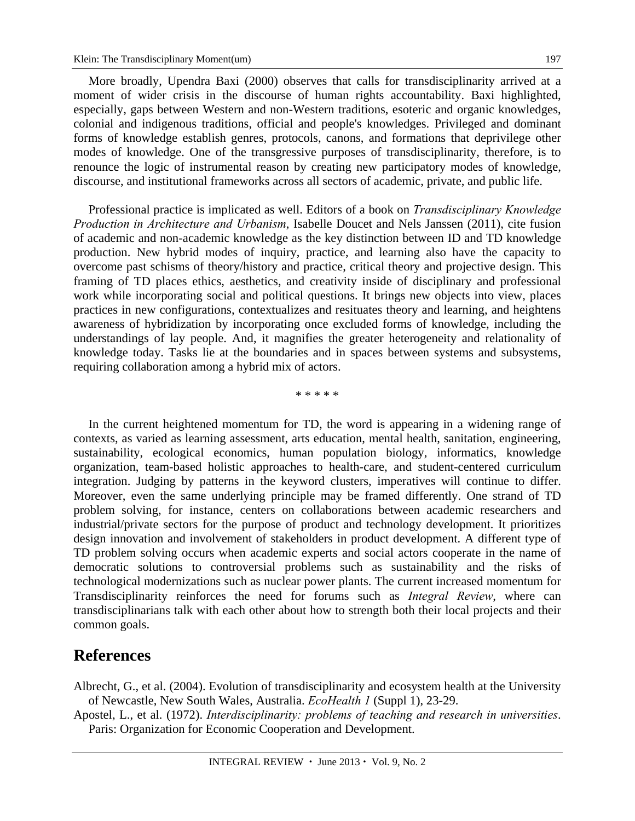More broadly, Upendra Baxi (2000) observes that calls for transdisciplinarity arrived at a moment of wider crisis in the discourse of human rights accountability. Baxi highlighted, especially, gaps between Western and non-Western traditions, esoteric and organic knowledges, colonial and indigenous traditions, official and people's knowledges. Privileged and dominant forms of knowledge establish genres, protocols, canons, and formations that deprivilege other modes of knowledge. One of the transgressive purposes of transdisciplinarity, therefore, is to renounce the logic of instrumental reason by creating new participatory modes of knowledge,

discourse, and institutional frameworks across all sectors of academic, private, and public life.

Professional practice is implicated as well. Editors of a book on *Transdisciplinary Knowledge Production in Architecture and Urbanism*, Isabelle Doucet and Nels Janssen (2011), cite fusion of academic and non-academic knowledge as the key distinction between ID and TD knowledge production. New hybrid modes of inquiry, practice, and learning also have the capacity to overcome past schisms of theory/history and practice, critical theory and projective design. This framing of TD places ethics, aesthetics, and creativity inside of disciplinary and professional work while incorporating social and political questions. It brings new objects into view, places practices in new configurations, contextualizes and resituates theory and learning, and heightens awareness of hybridization by incorporating once excluded forms of knowledge, including the understandings of lay people. And, it magnifies the greater heterogeneity and relationality of knowledge today. Tasks lie at the boundaries and in spaces between systems and subsystems, requiring collaboration among a hybrid mix of actors.

\* \* \* \* \*

In the current heightened momentum for TD, the word is appearing in a widening range of contexts, as varied as learning assessment, arts education, mental health, sanitation, engineering, sustainability, ecological economics, human population biology, informatics, knowledge organization, team-based holistic approaches to health-care, and student-centered curriculum integration. Judging by patterns in the keyword clusters, imperatives will continue to differ. Moreover, even the same underlying principle may be framed differently. One strand of TD problem solving, for instance, centers on collaborations between academic researchers and industrial/private sectors for the purpose of product and technology development. It prioritizes design innovation and involvement of stakeholders in product development. A different type of TD problem solving occurs when academic experts and social actors cooperate in the name of democratic solutions to controversial problems such as sustainability and the risks of technological modernizations such as nuclear power plants. The current increased momentum for Transdisciplinarity reinforces the need for forums such as *Integral Review*, where can transdisciplinarians talk with each other about how to strength both their local projects and their common goals.

### **References**

Albrecht, G., et al. (2004). Evolution of transdisciplinarity and ecosystem health at the University of Newcastle, New South Wales, Australia. *EcoHealth 1* (Suppl 1), 23-29.

Apostel, L., et al. (1972). *Interdisciplinarity: problems of teaching and research in universities*. Paris: Organization for Economic Cooperation and Development.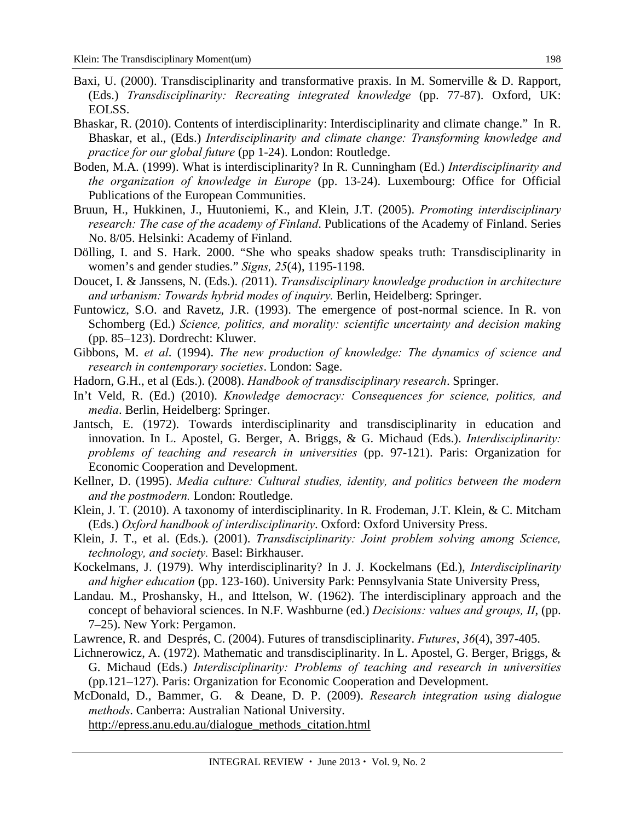- Baxi, U. (2000). Transdisciplinarity and transformative praxis. In M. Somerville & D. Rapport, (Eds.) *Transdisciplinarity: Recreating integrated knowledge* (pp. 77-87). Oxford, UK: EOLSS.
- Bhaskar, R. (2010). Contents of interdisciplinarity: Interdisciplinarity and climate change." In R. Bhaskar, et al., (Eds.) *Interdisciplinarity and climate change: Transforming knowledge and practice for our global future* (pp 1-24). London: Routledge.
- Boden, M.A. (1999). What is interdisciplinarity? In R. Cunningham (Ed.) *Interdisciplinarity and the organization of knowledge in Europe* (pp. 13-24). Luxembourg: Office for Official Publications of the European Communities.
- Bruun, H., Hukkinen, J., Huutoniemi, K., and Klein, J.T. (2005). *Promoting interdisciplinary research: The case of the academy of Finland*. Publications of the Academy of Finland. Series No. 8/05. Helsinki: Academy of Finland.
- Dölling, I. and S. Hark. 2000. "She who speaks shadow speaks truth: Transdisciplinarity in women's and gender studies." *Signs, 25*(4), 1195-1198.
- Doucet, I. & Janssens, N. (Eds.). *(*2011). *Transdisciplinary knowledge production in architecture and urbanism: Towards hybrid modes of inquiry.* Berlin, Heidelberg: Springer.
- Funtowicz, S.O. and Ravetz, J.R. (1993). The emergence of post-normal science. In R. von Schomberg (Ed.) *Science, politics, and morality: scientific uncertainty and decision making* (pp. 85–123). Dordrecht: Kluwer.
- Gibbons, M. *et al*. (1994). *The new production of knowledge: The dynamics of science and research in contemporary societies*. London: Sage.
- Hadorn, G.H., et al (Eds.). (2008). *Handbook of transdisciplinary research*. Springer.
- In't Veld, R. (Ed.) (2010). *Knowledge democracy: Consequences for science, politics, and media*. Berlin, Heidelberg: Springer.
- Jantsch, E. (1972). Towards interdisciplinarity and transdisciplinarity in education and innovation. In L. Apostel, G. Berger, A. Briggs, & G. Michaud (Eds.). *Interdisciplinarity: problems of teaching and research in universities* (pp. 97-121). Paris: Organization for Economic Cooperation and Development.
- Kellner, D. (1995). *Media culture: Cultural studies, identity, and politics between the modern and the postmodern.* London: Routledge.
- Klein, J. T. (2010). A taxonomy of interdisciplinarity. In R. Frodeman, J.T. Klein, & C. Mitcham (Eds.) *Oxford handbook of interdisciplinarity*. Oxford: Oxford University Press.
- Klein, J. T., et al. (Eds.). (2001). *Transdisciplinarity: Joint problem solving among Science, technology, and society.* Basel: Birkhauser.
- Kockelmans, J. (1979). Why interdisciplinarity? In J. J. Kockelmans (Ed.), *Interdisciplinarity and higher education* (pp. 123-160). University Park: Pennsylvania State University Press,
- Landau. M., Proshansky, H., and Ittelson, W. (1962). The interdisciplinary approach and the concept of behavioral sciences. In N.F. Washburne (ed.) *Decisions: values and groups, II*, (pp. 7–25). New York: Pergamon.
- Lawrence, R. and Després, C. (2004). Futures of transdisciplinarity. *Futures*, *36*(4), 397-405.
- Lichnerowicz, A. (1972). Mathematic and transdisciplinarity. In L. Apostel, G. Berger, Briggs, & G. Michaud (Eds.) *Interdisciplinarity: Problems of teaching and research in universities* (pp.121–127). Paris: Organization for Economic Cooperation and Development.

McDonald, D., Bammer, G. & Deane, D. P. (2009). *Research integration using dialogue methods*. Canberra: Australian National University.

http://epress.anu.edu.au/dialogue\_methods\_citation.html